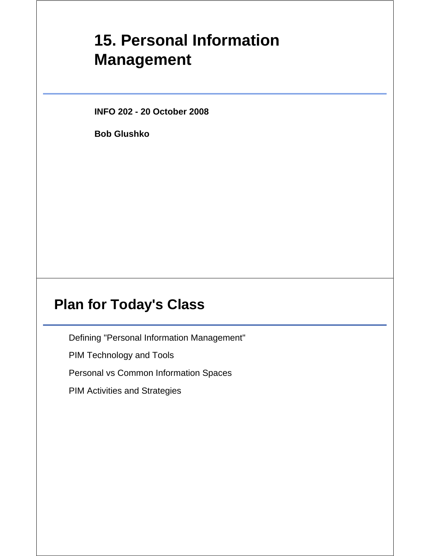# **15. Personal Information Management**

**INFO 202 - 20 October 2008**

**Bob Glushko**

### **Plan for Today's Class**

Defining "Personal Information Management"

PIM Technology and Tools

Personal vs Common Information Spaces

PIM Activities and Strategies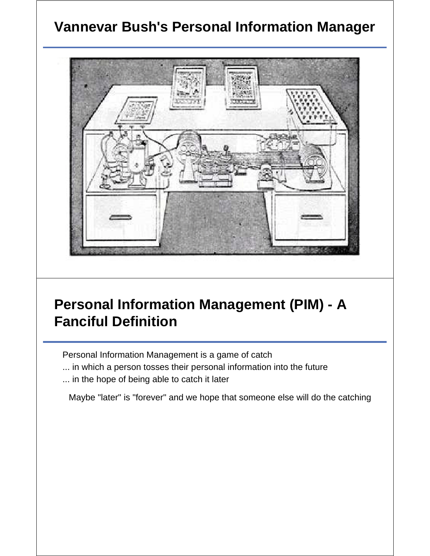## **Vannevar Bush's Personal Information Manager**



# **Personal Information Management (PIM) - A Fanciful Definition**

Personal Information Management is a game of catch

- ... in which a person tosses their personal information into the future
- ... in the hope of being able to catch it later

Maybe "later" is "forever" and we hope that someone else will do the catching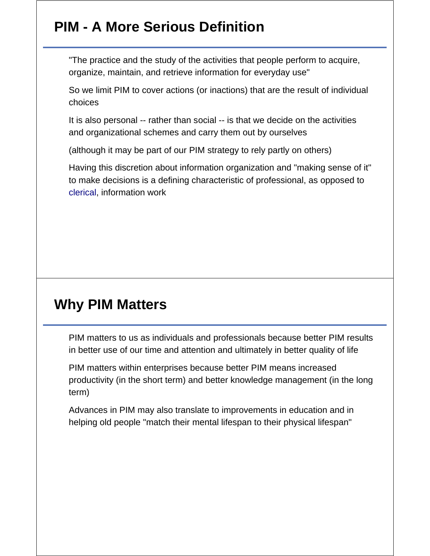## **PIM - A More Serious Definition**

"The practice and the study of the activities that people perform to acquire, organize, maintain, and retrieve information for everyday use"

So we limit PIM to cover actions (or inactions) that are the result of individual choices

It is also personal -- rather than social -- is that we decide on the activities and organizational schemes and carry them out by ourselves

(although it may be part of our PIM strategy to rely partly on others)

Having this discretion about information organization and "making sense of it" to make decisions is a defining characteristic of professional, as opposed to clerical, information work

### **Why PIM Matters**

PIM matters to us as individuals and professionals because better PIM results in better use of our time and attention and ultimately in better quality of life

PIM matters within enterprises because better PIM means increased productivity (in the short term) and better knowledge management (in the long term)

Advances in PIM may also translate to improvements in education and in helping old people "match their mental lifespan to their physical lifespan"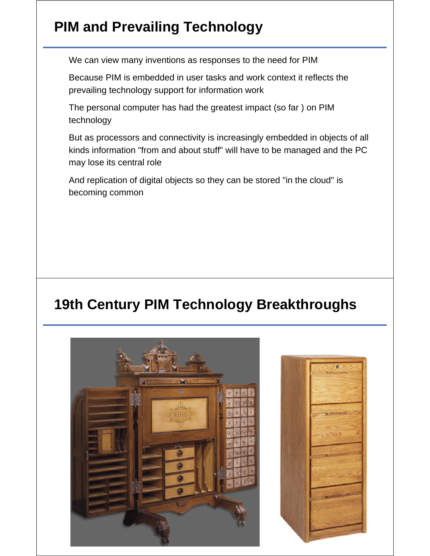# **PIM and Prevailing Technology**

We can view many inventions as responses to the need for PIM

Because PIM is embedded in user tasks and work context it reflects the prevailing technology support for information work

The personal computer has had the greatest impact (so far ) on PIM technology

But as processors and connectivity is increasingly embedded in objects of all kinds information "from and about stuff" will have to be managed and the PC may lose its central role

And replication of digital objects so they can be stored "in the cloud" is becoming common

## **19th Century PIM Technology Breakthroughs**



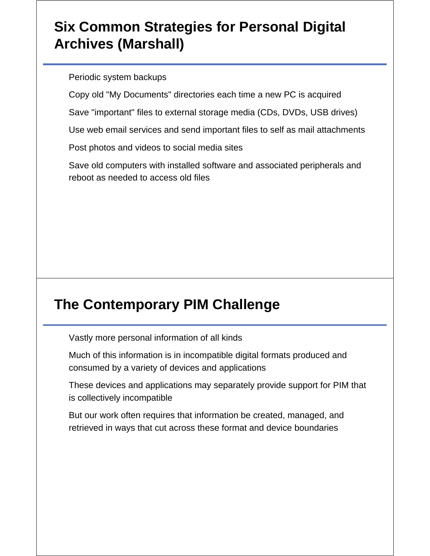## **Six Common Strategies for Personal Digital Archives (Marshall)**

Periodic system backups

Copy old "My Documents" directories each time a new PC is acquired

Save "important" files to external storage media (CDs, DVDs, USB drives)

Use web email services and send important files to self as mail attachments

Post photos and videos to social media sites

Save old computers with installed software and associated peripherals and reboot as needed to access old files

# **The Contemporary PIM Challenge**

Vastly more personal information of all kinds

Much of this information is in incompatible digital formats produced and consumed by a variety of devices and applications

These devices and applications may separately provide support for PIM that is collectively incompatible

But our work often requires that information be created, managed, and retrieved in ways that cut across these format and device boundaries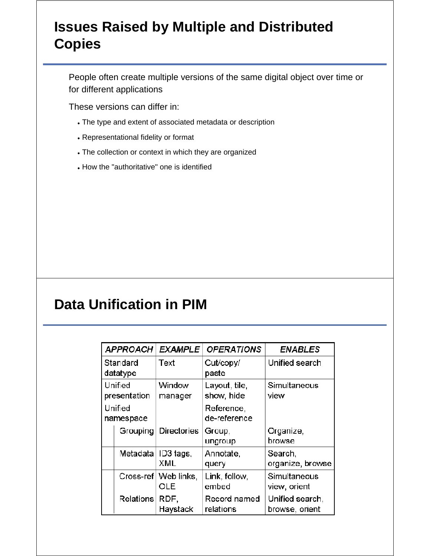### **Issues Raised by Multiple and Distributed Copies**

People often create multiple versions of the same digital object over time or for different applications

These versions can differ in:

- The type and extent of associated metadata or description
- Representational fidelity or format
- The collection or context in which they are organized
- How the "authoritative" one is identified

### **Data Unification in PIM**

| <b>APPROACH</b>         |                  | <b>EXAMPLE</b>     | <b>OPERATIONS</b>           | <b>ENABLES</b>                    |
|-------------------------|------------------|--------------------|-----------------------------|-----------------------------------|
| Standard<br>datatype    |                  | Text               | Cut/copy/<br>paste          | Unified search                    |
| Unified<br>presentation |                  | Window<br>manager  | Layout, tile,<br>show, hide | Simultaneous<br>view              |
| Unified<br>namespace    |                  |                    | Reference,<br>de-reference  |                                   |
|                         | Grouping         | <b>Directories</b> | Group,<br>ungroup           | Organize,<br>browse               |
|                         | Metadata         | ID3 tags,<br>XML   | Annotate,<br>query          | Search,<br>organize, browse       |
|                         | $Cross-ref$      | Web links,<br>OLE. | Link, follow,<br>embed      | Simultaneous<br>view, orient      |
|                         | <b>Relations</b> | RDF,<br>Haystack   | Record named<br>relations   | Unified search,<br>browse, orient |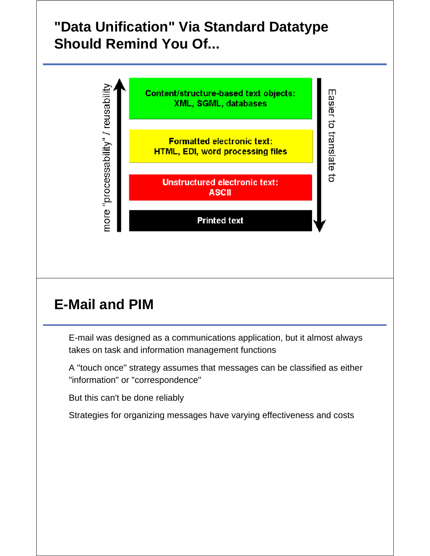## **"Data Unification" Via Standard Datatype Should Remind You Of...**



# **E-Mail and PIM**

E-mail was designed as a communications application, but it almost always takes on task and information management functions

A "touch once" strategy assumes that messages can be classified as either "information" or "correspondence"

But this can't be done reliably

Strategies for organizing messages have varying effectiveness and costs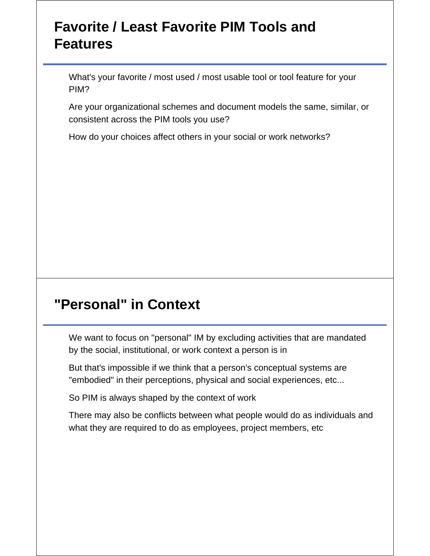### **Favorite / Least Favorite PIM Tools and Features**

What's your favorite / most used / most usable tool or tool feature for your PIM?

Are your organizational schemes and document models the same, similar, or consistent across the PIM tools you use?

How do your choices affect others in your social or work networks?

### **"Personal" in Context**

We want to focus on "personal" IM by excluding activities that are mandated by the social, institutional, or work context a person is in

But that's impossible if we think that a person's conceptual systems are "embodied" in their perceptions, physical and social experiences, etc...

So PIM is always shaped by the context of work

There may also be conflicts between what people would do as individuals and what they are required to do as employees, project members, etc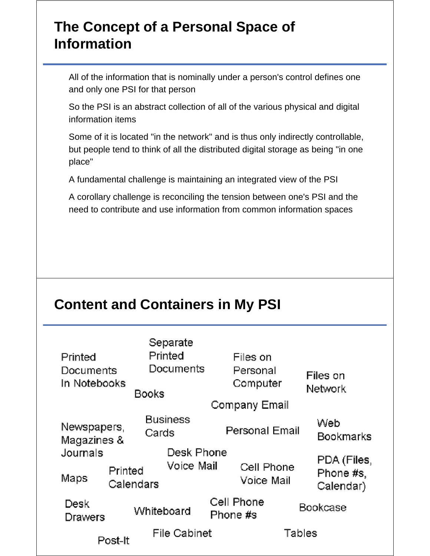### **The Concept of a Personal Space of Information**

All of the information that is nominally under a person's control defines one and only one PSI for that person

So the PSI is an abstract collection of all of the various physical and digital information items

Some of it is located "in the network" and is thus only indirectly controllable, but people tend to think of all the distributed digital storage as being "in one place"

A fundamental challenge is maintaining an integrated view of the PSI

A corollary challenge is reconciling the tension between one's PSI and the need to contribute and use information from common information spaces

## **Content and Containers in My PSI**

| Printed<br>Documents<br>In Notebooks | Separate<br>Printed<br>Documents<br>Books | Files on<br>Personal<br>Computer<br>Company Email | Files on<br>Network                   |
|--------------------------------------|-------------------------------------------|---------------------------------------------------|---------------------------------------|
| Newspapers,<br>Magazines &           | <b>Business</b><br>Cards                  | Personal Email                                    | Web<br>Bookmarks                      |
| Journals<br>Printed<br>Maps          | Desk Phone<br>Voice Mail<br>Calendars     | Cell Phone<br>Voice Mail                          | PDA (Files,<br>Phone #s,<br>Calendar) |
| Desk<br>Drawers                      | Whiteboard                                | Cell Phone<br>Phone #s                            | Bookcase                              |
| Post-It                              | File Cabinet                              | Tables                                            |                                       |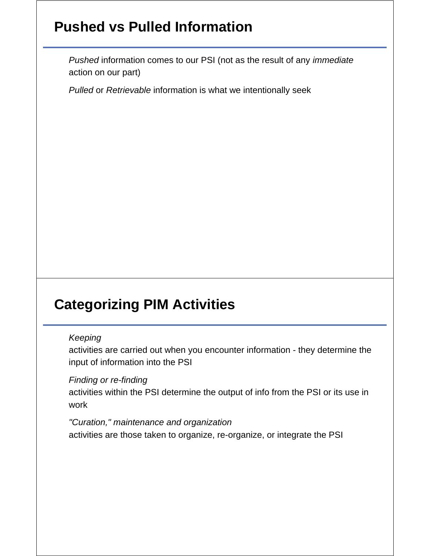## **Pushed vs Pulled Information**

*Pushed* information comes to our PSI (not as the result of any *immediate* action on our part)

*Pulled* or *Retrievable* information is what we intentionally seek

# **Categorizing PIM Activities**

#### *Keeping*

activities are carried out when you encounter information - they determine the input of information into the PSI

#### *Finding or re-finding*

activities within the PSI determine the output of info from the PSI or its use in work

#### *"Curation," maintenance and organization*

activities are those taken to organize, re-organize, or integrate the PSI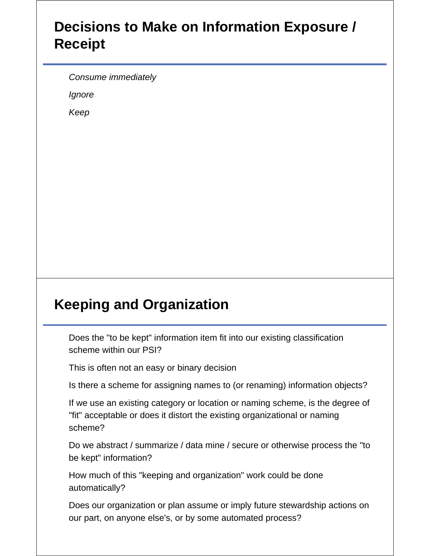### **Decisions to Make on Information Exposure / Receipt**

*Consume immediately*

*Ignore*

*Keep*

# **Keeping and Organization**

Does the "to be kept" information item fit into our existing classification scheme within our PSI?

This is often not an easy or binary decision

Is there a scheme for assigning names to (or renaming) information objects?

If we use an existing category or location or naming scheme, is the degree of "fit" acceptable or does it distort the existing organizational or naming scheme?

Do we abstract / summarize / data mine / secure or otherwise process the "to be kept" information?

How much of this "keeping and organization" work could be done automatically?

Does our organization or plan assume or imply future stewardship actions on our part, on anyone else's, or by some automated process?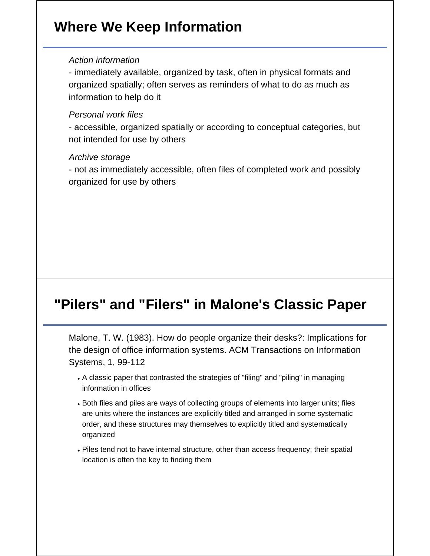### **Where We Keep Information**

#### *Action information*

- immediately available, organized by task, often in physical formats and organized spatially; often serves as reminders of what to do as much as information to help do it

#### *Personal work files*

- accessible, organized spatially or according to conceptual categories, but not intended for use by others

#### *Archive storage*

- not as immediately accessible, often files of completed work and possibly organized for use by others

### **"Pilers" and "Filers" in Malone's Classic Paper**

Malone, T. W. (1983). How do people organize their desks?: Implications for the design of office information systems. ACM Transactions on Information Systems, 1, 99-112

- A classic paper that contrasted the strategies of "filing" and "piling" in managing information in offices
- Both files and piles are ways of collecting groups of elements into larger units; files are units where the instances are explicitly titled and arranged in some systematic order, and these structures may themselves to explicitly titled and systematically organized
- Piles tend not to have internal structure, other than access frequency; their spatial location is often the key to finding them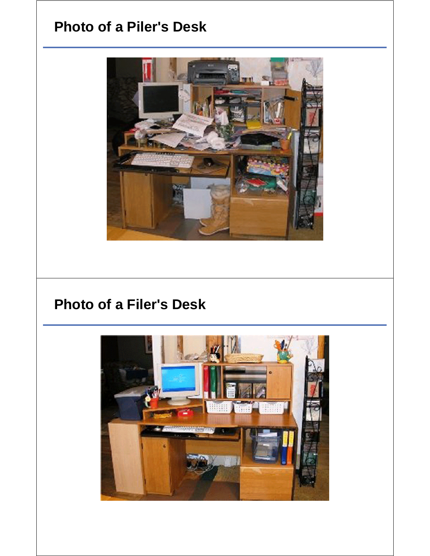### **Photo of a Piler's Desk**



### **Photo of a Filer's Desk**

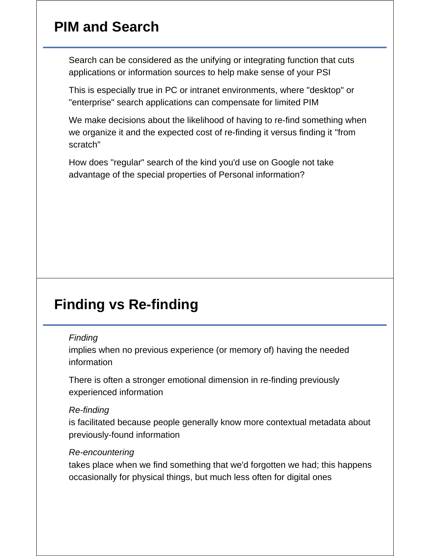### **PIM and Search**

Search can be considered as the unifying or integrating function that cuts applications or information sources to help make sense of your PSI

This is especially true in PC or intranet environments, where "desktop" or "enterprise" search applications can compensate for limited PIM

We make decisions about the likelihood of having to re-find something when we organize it and the expected cost of re-finding it versus finding it "from scratch"

How does "regular" search of the kind you'd use on Google not take advantage of the special properties of Personal information?

### **Finding vs Re-finding**

#### *Finding*

implies when no previous experience (or memory of) having the needed information

There is often a stronger emotional dimension in re-finding previously experienced information

#### *Re-finding*

is facilitated because people generally know more contextual metadata about previously-found information

#### *Re-encountering*

takes place when we find something that we'd forgotten we had; this happens occasionally for physical things, but much less often for digital ones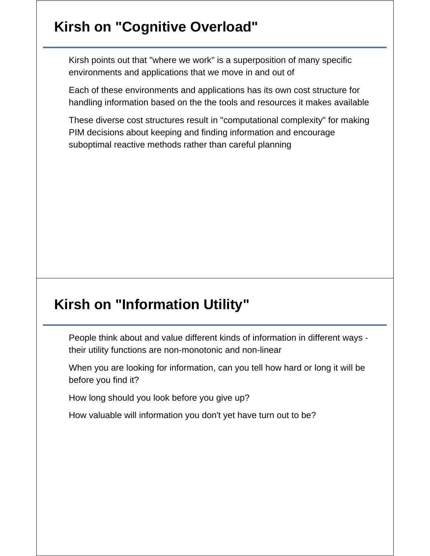# **Kirsh on "Cognitive Overload"**

Kirsh points out that "where we work" is a superposition of many specific environments and applications that we move in and out of

Each of these environments and applications has its own cost structure for handling information based on the the tools and resources it makes available

These diverse cost structures result in "computational complexity" for making PIM decisions about keeping and finding information and encourage suboptimal reactive methods rather than careful planning

## **Kirsh on "Information Utility"**

People think about and value different kinds of information in different ways their utility functions are non-monotonic and non-linear

When you are looking for information, can you tell how hard or long it will be before you find it?

How long should you look before you give up?

How valuable will information you don't yet have turn out to be?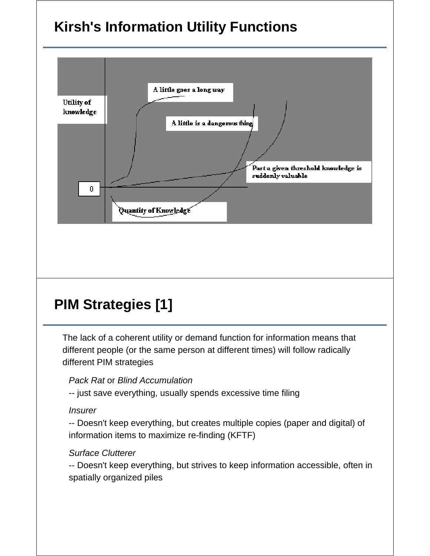# **Kirsh's Information Utility Functions**



# **PIM Strategies [1]**

The lack of a coherent utility or demand function for information means that different people (or the same person at different times) will follow radically different PIM strategies

#### *Pack Rat* or *Blind Accumulation*

-- just save everything, usually spends excessive time filing

#### *Insurer*

-- Doesn't keep everything, but creates multiple copies (paper and digital) of information items to maximize re-finding (KFTF)

#### *Surface Clutterer*

-- Doesn't keep everything, but strives to keep information accessible, often in spatially organized piles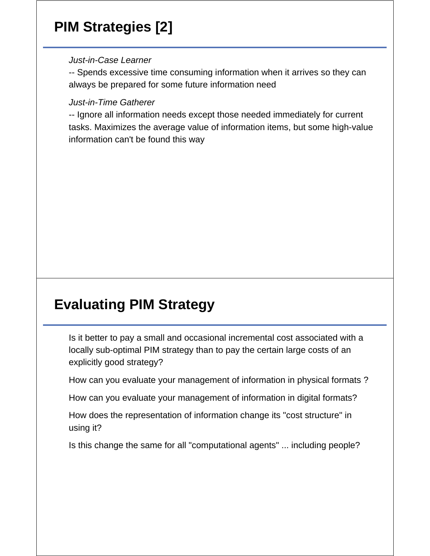# **PIM Strategies [2]**

*Just-in-Case Learner*

-- Spends excessive time consuming information when it arrives so they can always be prepared for some future information need

*Just-in-Time Gatherer*

-- Ignore all information needs except those needed immediately for current tasks. Maximizes the average value of information items, but some high-value information can't be found this way

# **Evaluating PIM Strategy**

Is it better to pay a small and occasional incremental cost associated with a locally sub-optimal PIM strategy than to pay the certain large costs of an explicitly good strategy?

How can you evaluate your management of information in physical formats ?

How can you evaluate your management of information in digital formats?

How does the representation of information change its "cost structure" in using it?

Is this change the same for all "computational agents" ... including people?